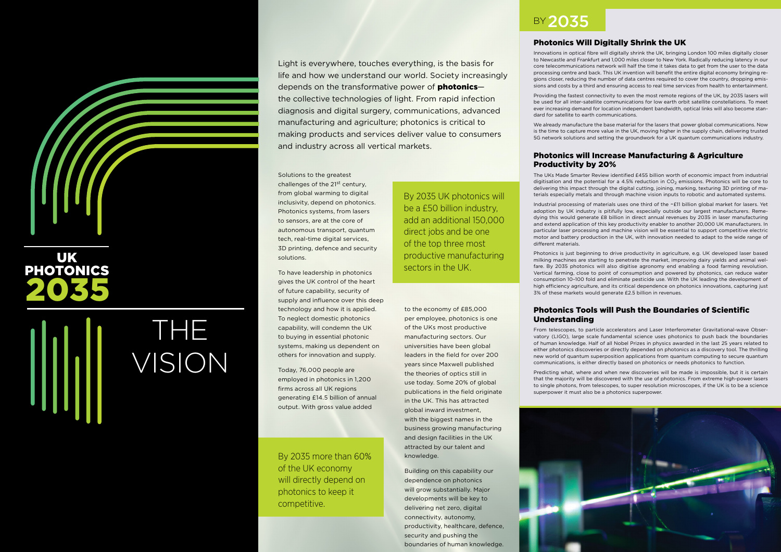Light is everywhere, touches everything, is the basis for life and how we understand our world. Society increasingly depends on the transformative power of **photonics**the collective technologies of light. From rapid infection diagnosis and digital surgery, communications, advanced manufacturing and agriculture; photonics is critical to making products and services deliver value to consumers and industry across all vertical markets.

Solutions to the greatest challenges of the 21st century, from global warming to digital inclusivity, depend on photonics. Photonics systems, from lasers to sensors, are at the core of autonomous transport, quantum tech, real-time digital services, 3D printing, defence and security

solutions.

To have leadership in photonics gives the UK control of the heart of future capability, security of supply and influence over this deep technology and how it is applied. To neglect domestic photonics capability, will condemn the UK to buying in essential photonic systems, making us dependent on others for innovation and supply.

Today, 76,000 people are employed in photonics in 1,200 firms across all UK regions generating £14.5 billion of annual output. With gross value added

By 2035 UK photonics will be a £50 billion industry, add an additional 150,000

direct jobs and be one of the top three most

productive manufacturing

sectors in the UK.

By 2035 more than 60% of the UK economy will directly depend on photonics to keep it competitive.

to the economy of £85,000 per employee, photonics is one of the UKs most productive manufacturing sectors. Our universities have been global leaders in the field for over 200 years since Maxwell published the theories of optics still in use today. Some 20% of global publications in the field originate in the UK. This has attracted global inward investment, with the biggest names in the business growing manufacturing and design facilities in the UK attracted by our talent and

knowledge.

Building on this capability our dependence on photonics will grow substantially. Major developments will be key to delivering net zero, digital connectivity, autonomy,

productivity, healthcare, defence,

security and pushing the

boundaries of human knowledge.

UK

# PHOTONICS 2035

THE VISION

## **BY2035**

#### Photonics Will Digitally Shrink the UK

Innovations in optical fibre will digitally shrink the UK, bringing London 100 miles digitally closer to Newcastle and Frankfurt and 1,000 miles closer to New York. Radically reducing latency in our core telecommunications network will half the time it takes data to get from the user to the data processing centre and back. This UK invention will benefit the entire digital economy bringing regions closer, reducing the number of data centres required to cover the country, dropping emissions and costs by a third and ensuring access to real time services from health to entertainment.

Providing the fastest connectivity to even the most remote regions of the UK, by 2035 lasers will be used for all inter-satellite communications for low earth orbit satellite constellations. To meet ever increasing demand for location independent bandwidth, optical links will also become standard for satellite to earth communications.

We already manufacture the base material for the lasers that power global communications. Now is the time to capture more value in the UK, moving higher in the supply chain, delivering trusted 5G network solutions and setting the groundwork for a UK quantum communications industry.

#### Photonics will Increase Manufacturing & Agriculture Productivity by 20%

The UKs Made Smarter Review identified £455 billion worth of economic impact from industrial digitisation and the potential for a 4.5% reduction in  $CO<sub>2</sub>$  emissions. Photonics will be core to delivering this impact through the digital cutting, joining, marking, texturing 3D printing of materials especially metals and through machine vision inputs to robotic and automated systems.

Industrial processing of materials uses one third of the ~£11 billion global market for lasers. Yet adoption by UK industry is pitifully low, especially outside our largest manufacturers. Remedying this would generate £8 billion in direct annual revenues by 2035 in laser manufacturing and extend application of this key productivity enabler to another 20,000 UK manufacturers. In particular laser processing and machine vision will be essential to support competitive electric motor and battery production in the UK, with innovation needed to adapt to the wide range of different materials.

Photonics is just beginning to drive productivity in agriculture, e.g. UK developed laser based milking machines are starting to penetrate the market, improving dairy yields and animal welfare. By 2035 photonics will also digitise agronomy end enabling a food farming revolution. Vertical farming, close to point of consumption and powered by photonics, can reduce water consumption 10–100 fold and eliminate pesticide use. With the UK leading the development of high efficiency agriculture, and its critical dependence on photonics innovations, capturing just 3% of these markets would generate £2.5 billion in revenues.

#### Photonics Tools will Push the Boundaries of Scientific Understanding

From telescopes, to particle accelerators and Laser Interferometer Gravitational-wave Observatory (LIGO), large scale fundamental science uses photonics to push back the boundaries of human knowledge. Half of all Nobel Prizes in physics awarded in the last 25 years related to either photonics discoveries or directly depended on photonics as a discovery tool. The thrilling new world of quantum superposition applications from quantum computing to secure quantum communications, is either directly based on photonics or needs photonics to function.

Predicting what, where and when new discoveries will be made is impossible, but it is certain that the majority will be discovered with the use of photonics. From extreme high-power lasers to single photons, from telescopes, to super resolution microscopes, if the UK is to be a science superpower it must also be a photonics superpower.